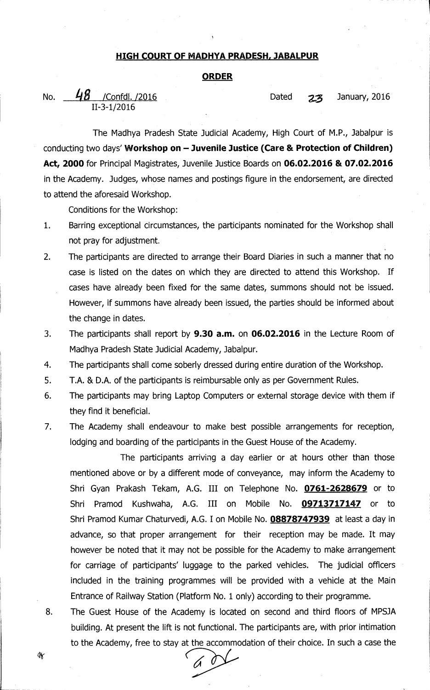## **HIGH COURT OF MADHYA PRADESH, JABALPUR**

## **ORDER**

No. 48 /Confdl. /2016 **Dated 23 January, 2016** 

The Madhya Pradesh State Judicial Academy, High Court of M.P., Jabalpur is conducting two days' **Workshop on — Juvenile Justice (Care & Protection of Children) Act, 2000** for Principal Magistrates, Juvenile Justice Boards on **06.02.2016 & 07.02.2016**  in the Academy. Judges, whose names and postings figure in the endorsement, are directed to attend the aforesaid Workshop.

Conditions for the Workshop:

II-3-1/2016

- 1. Barring exceptional circumstances, the participants nominated for the Workshop shall not pray for adjustment.
- 2. The participants are directed to arrange their Board Diaries in such a manner that no case is listed on the dates on which they are directed to attend this Workshop. If cases have already been fixed for the same dates, summons should not be issued. However, if summons have already been issued, the parties should be informed about the change in dates.
- 3. The participants shall report by **9.30 a.m.** on **06.02.2016** in the Lecture Room of Madhya Pradesh State Judicial Academy, Jabalpur.
- 4. The participants shall come soberly dressed during entire duration of the Workshop.
- 5. T.A. & D.A. of the participants is reimbursable only as per Government Rules.
- 6. The participants may bring Laptop Computers or external storage device with them if they find it beneficial.
- 7. The Academy shall endeavour to make best possible arrangements for reception, lodging and boarding of the participants in the Guest House of the Academy.

The participants arriving a day earlier or at hours other than those mentioned above or by a different mode of conveyance, may inform the Academy to Shri Gyan Prakash Tekam, A.G. III on Telephone No. **0761-2628679** or to Shri Pramod Kushwaha, A.G. III on Mobile No. **09713717147** or to Shri Pramod Kumar Chaturvedi, A.G. I on Mobile No. **08878747939** at least a day in advance, so that proper arrangement for their reception may be made. It may however be noted that it may not be possible for the Academy to make arrangement for carriage of participants' luggage to the parked vehicles. The judicial officers included in the training programmes will be provided with a vehicle at the Main Entrance of Railway Station (Platform No. 1 only) according to their programme.

8. The Guest House of the Academy is located on second and third floors of MPSJA building. At present the lift is not functional. The participants are, with prior intimation to the Academy, free to stay at the accommodation of their choice. In such a case the

ÝY.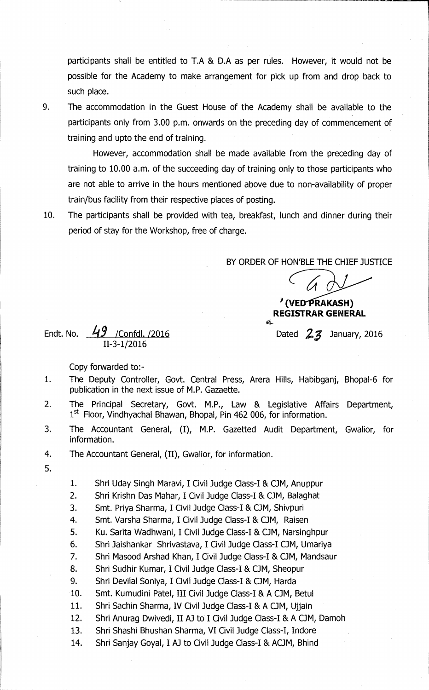participants shall be entitled to T.A & D.A as per rules. However, it would not be possible for the Academy to make arrangement for pick up from and drop back to such place.

9. The accommodation in the Guest House of the Academy shall be available to the participants only from 3.00 p.m. onwards on the preceding day of commencement of training and upto the end of training.

However, accommodation shall be made available from the preceding day of training to 10.00 a.m. of the succeeding day of training only to those participants who are not able to arrive in the hours mentioned above due to non-availability of proper train/bus facility from their respective places of posting.

10. The participants shall be provided with tea, breakfast, lunch and dinner during their period of stay for the Workshop, free of charge.

BY ORDER OF HON'BLE THE CHIEF JUSTICE

sł.

## <sup>\*</sup> (VED PRAKASH) **REGISTRAR GENERAL**

Dated *2,3* January, 2016

Endt. No.  $49$  /Confdl. /2016 II-3-1/2016

Copy forwarded to:-

- 1. The Deputy Controller, Govt. Central Press, Arera Hills, Habibganj, Bhopal-6 for publication in the next issue of M.P. Gazaette.
- 2. The Principal Secretary, Govt. M.P., Law & Legislative Affairs Department,  $1<sup>st</sup>$  Floor, Vindhyachal Bhawan, Bhopal, Pin 462 006, for information.
- 3. The Accountant General, (I), M.P. Gazetted Audit Department, Gwalior, for information.
- 4. The Accountant General, (II), Gwalior, for information.
- 5.

1. Shri Uday Singh Maravi, I Civil Judge Class-I & CJM, Anuppur

- 2. Shri Krishn Das Mahar, I Civil Judge Class-I & OM, Balaghat
- 3. Smt. Priya Sharma, I Civil Judge Class-I & OM, Shivpuri
- 4. Smt. Varsha Sharma, I Civil Judge Class-I & CJM, Raisen
- 5. Ku. Santa Wadhwani, I Civil Judge Class-I & CJM, Narsinghpur
- 6. Shri Jaishankar Shrivastava, I Civil Judge Class-I OM, Umariya
- 7. Shri Masood Arshad Khan, I Civil Judge Class-I & OM, Mandsaur
- 8. Shri Sudhir Kumar, I Civil Judge Class-I & OM, Sheopur
- 9. Shri Devilal Soniya, I Civil Judge Class-I & CJM, Harda
- 10. Smt. Kumudini Patel, III Civil Judge Class-I & A CJM, Betul
- 11. Shri Sachin Sharma, IV Civil Judge Class-I & A OM, Ujjain
- 12. Shri Anurag Dwivedi, II AJ to I Civil Judge Class-I & A CJM, Damoh
- 13. Shri Shashi Bhushan Sharma, VI Civil Judge Class-I, Indore
- 14. Shri Sanjay Goyal, I AJ to Civil Judge Class-I & ACJM, Bhind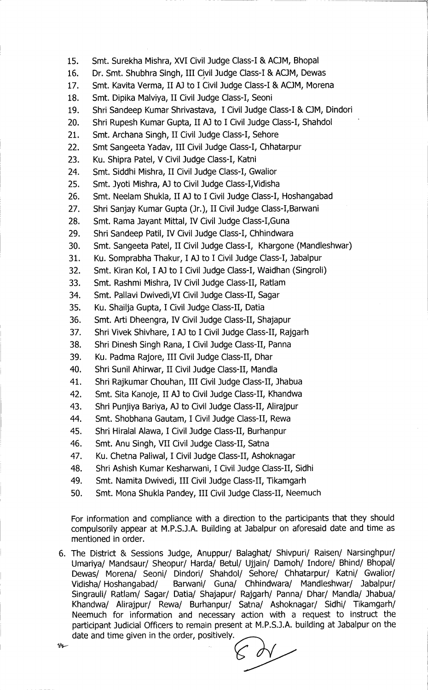- **15. Smt. Surekha Mishra, XVI Civil Judge Class-I & ACJM, Bhopal**
- 16. Dr. Smt. Shubhra Singh, III Civil Judge Class-I & ACJM, Dewas
- 17. Smt. Kavita Verma, II AJ to I Civil Judge Class-I & ACJM, Morena
- **18. Smt. Dipika Malviya, II Civil Judge Class-I, Seoni**
- **19. Shri Sandeep Kumar Shrivastava, I Civil Judge Class-I & OM, Dindori**
- **20. Shri Rupesh Kumar Gupta, II A) to I Civil Judge Class-I, Shahdol**
- **21. Smt. Archana Singh, II Civil Judge Class-I, Sehore**
- **22. Smt Sangeeta Yadav, III Civil Judge Class-I, Chhatarpur**
- **23. Ku. Shipra Patel, V Civil Judge Class-I, Katni**
- **24. Smt. Siddhi Mishra, II Civil Judge Class-I, Gwalior**
- **25. Smt. Jyoti Mishra, AJ to Civil Judge Class-I,Vidisha**
- **26. Smt. Neelam Shukla, II AJ to I Civil Judge Class-I, Hoshangabad**
- **27. Shri Sanjay Kumar Gupta (Jr.), II Civil Judge Class-I,Barwani**
- **28. Smt. Rama Jayant Mittal, IV Civil Judge Class-I,Guna**
- **29. Shri Sandeep Patil, IV Civil Judge Class-I, Chhindwara**
- **30. Smt. Sangeeta Patel, II Civil Judge Class-I, Khargone (Mandleshwar)**
- **31. Ku. Somprabha Thakur, I Al to I Civil Judge Class-I, Jabalpur**
- **32. Smt. Kiran Kol, I AJ to I Civil Judge Class-I, Waidhan (Singroli)**
- **33. Smt. Rashmi Mishra, IV Civil Judge Class-II, Ratlam**
- **34. Smt. Pallavi Dwivedi,VI Civil Judge Class-II, Sagar**
- **35. Ku. Shailja Gupta, I Civil Judge Class-II, Datia**
- **36. Smt. Arti Dheengra, IV Civil Judge Class-II, Shajapur**
- **37. Shri Vivek Shivhare, I A] to I Civil Judge Class-II, Rajgarh**
- **38. Shri Dinesh Singh Rana, I Civil Judge Class-II, Panna**
- **39. Ku. Padma Rajore, III Civil Judge Class-II, Dhar**
- **40. Shri Sunil Ahirwar, II Civil Judge Class-II, Mandla**
- **41. Shri Rajkumar Chouhan, III Civil Judge Class-II, Jhabua**
- **42. Smt. Sita Kanoje, II A) to Civil Judge Class-II, Khandwa**
- **43. Shri Punjiya Bariya, A) to Civil Judge Class-II, Alirajpur**
- **44. Smt. Shobhana Gautam, I Civil Judge Class-II, Rewa**
- **45. Shri Hiralal Alawa, I Civil Judge Class-II, Burhanpur**
- **46. Smt. Anu Singh, VII Civil Judge Class-II, Satna**
- **47. Ku. Chetna Paliwal, I Civil Judge Class-II, Ashoknagar**
- **48. Shri Ashish Kumar Kesharwani, I Civil Judge Class-II, Sidhi**
- **49. Smt. Namita Dwivedi, III Civil Judge Class-II, Tikamgarh**
- **50. Smt. Mona Shukla Pandey, III Civil Judge Class-II,** Neemuch

For information and compliance with a direction to the participants that they should compulsorily appear at M.P.S.J.A. Building at Jabalpur on aforesaid date and time as mentioned in order.

6. The District & Sessions Judge, Anuppur/ Balaghat/ Shivpuri/ Raisen/ Narsinghpur/ Umariya/ Mandsaur/ Sheopur/ Harda/ Betul/ Ujjain/ Damoh/ Indore/ Bhind/ Bhopal/ Dewas/ Morena/ Seoni/ Dindori/ Shahdol/ Sehore/ Chhatarpur/ Katni/ Gwalior/ Vidisha/ Hoshangabad/ Barwani/ Guna/ Chhindwara/ Mandleshwar/ Jabalpur/ Singrauli/ Ratlam/ Sagar/ Datia/ Shajapur/ Rajgarh/ Panna/ Dhar/ Mandla/ Jhabua/ Khandwa/ Alirajpur/ Rewa/ Burhanpur/ Satna/ Ashoknagar/ Sidhi/ Tikamgarh/ Neemuch for information and necessary action with a request to instruct the participant Judicial Officers to remain present at M.P.S.J.A. building at Jabalpur on the date and time given in the order, positively.

sy